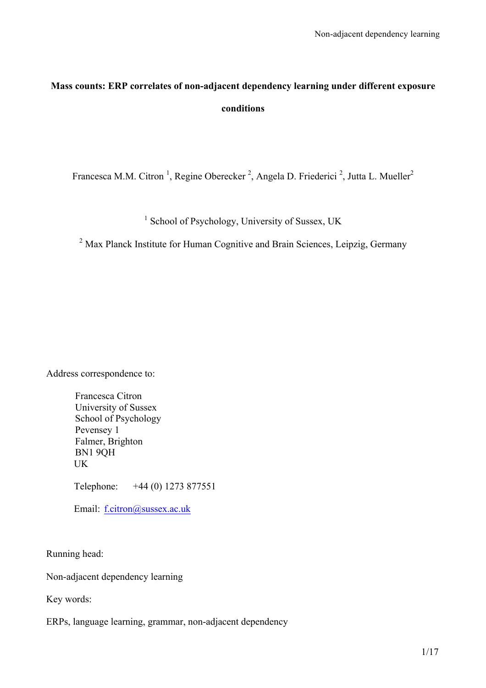# **Mass counts: ERP correlates of non-adjacent dependency learning under different exposure conditions**

Francesca M.M. Citron<sup>1</sup>, Regine Oberecker<sup>2</sup>, Angela D. Friederici<sup>2</sup>, Jutta L. Mueller<sup>2</sup>

<sup>1</sup> School of Psychology, University of Sussex, UK

<sup>2</sup> Max Planck Institute for Human Cognitive and Brain Sciences, Leipzig, Germany

Address correspondence to:

Francesca Citron University of Sussex School of Psychology Pevensey 1 Falmer, Brighton BN1 9QH UK

Telephone: +44 (0) 1273 877551

Email: f.citron@sussex.ac.uk

Running head:

Non-adjacent dependency learning

Key words:

ERPs, language learning, grammar, non-adjacent dependency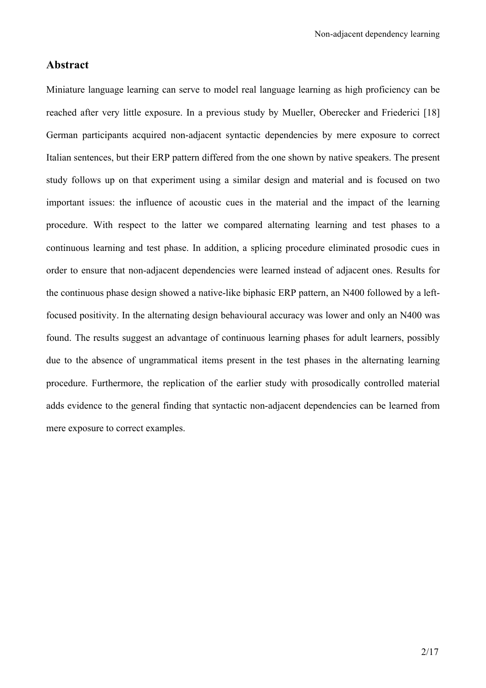# **Abstract**

Miniature language learning can serve to model real language learning as high proficiency can be reached after very little exposure. In a previous study by Mueller, Oberecker and Friederici [18] German participants acquired non-adjacent syntactic dependencies by mere exposure to correct Italian sentences, but their ERP pattern differed from the one shown by native speakers. The present study follows up on that experiment using a similar design and material and is focused on two important issues: the influence of acoustic cues in the material and the impact of the learning procedure. With respect to the latter we compared alternating learning and test phases to a continuous learning and test phase. In addition, a splicing procedure eliminated prosodic cues in order to ensure that non-adjacent dependencies were learned instead of adjacent ones. Results for the continuous phase design showed a native-like biphasic ERP pattern, an N400 followed by a leftfocused positivity. In the alternating design behavioural accuracy was lower and only an N400 was found. The results suggest an advantage of continuous learning phases for adult learners, possibly due to the absence of ungrammatical items present in the test phases in the alternating learning procedure. Furthermore, the replication of the earlier study with prosodically controlled material adds evidence to the general finding that syntactic non-adjacent dependencies can be learned from mere exposure to correct examples.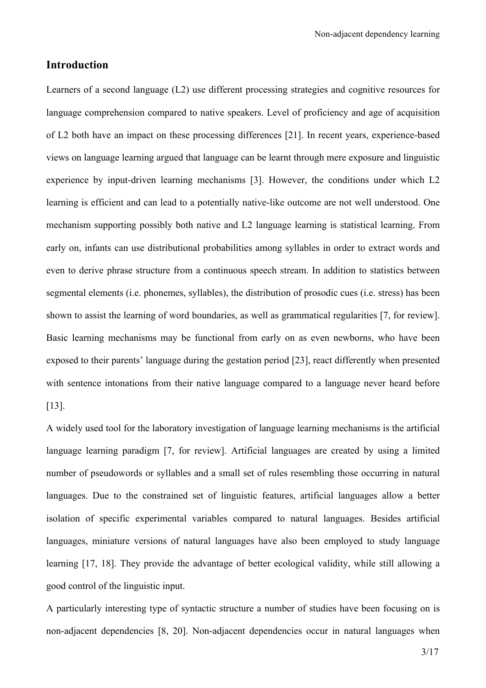# **Introduction**

Learners of a second language (L2) use different processing strategies and cognitive resources for language comprehension compared to native speakers. Level of proficiency and age of acquisition of L2 both have an impact on these processing differences [21]. In recent years, experience-based views on language learning argued that language can be learnt through mere exposure and linguistic experience by input-driven learning mechanisms [3]. However, the conditions under which L2 learning is efficient and can lead to a potentially native-like outcome are not well understood. One mechanism supporting possibly both native and L2 language learning is statistical learning. From early on, infants can use distributional probabilities among syllables in order to extract words and even to derive phrase structure from a continuous speech stream. In addition to statistics between segmental elements (i.e. phonemes, syllables), the distribution of prosodic cues (i.e. stress) has been shown to assist the learning of word boundaries, as well as grammatical regularities [7, for review]. Basic learning mechanisms may be functional from early on as even newborns, who have been exposed to their parents' language during the gestation period [23], react differently when presented with sentence intonations from their native language compared to a language never heard before [13].

A widely used tool for the laboratory investigation of language learning mechanisms is the artificial language learning paradigm [7, for review]. Artificial languages are created by using a limited number of pseudowords or syllables and a small set of rules resembling those occurring in natural languages. Due to the constrained set of linguistic features, artificial languages allow a better isolation of specific experimental variables compared to natural languages. Besides artificial languages, miniature versions of natural languages have also been employed to study language learning [17, 18]. They provide the advantage of better ecological validity, while still allowing a good control of the linguistic input.

A particularly interesting type of syntactic structure a number of studies have been focusing on is non-adjacent dependencies [8, 20]. Non-adjacent dependencies occur in natural languages when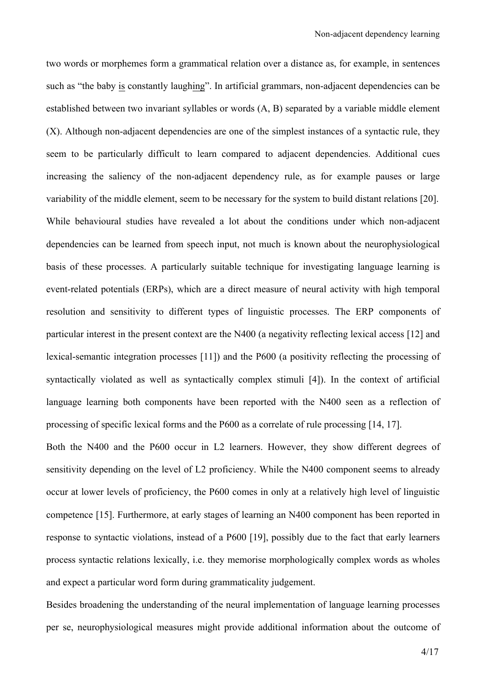two words or morphemes form a grammatical relation over a distance as, for example, in sentences such as "the baby is constantly laughing". In artificial grammars, non-adjacent dependencies can be established between two invariant syllables or words (A, B) separated by a variable middle element (X). Although non-adjacent dependencies are one of the simplest instances of a syntactic rule, they seem to be particularly difficult to learn compared to adjacent dependencies. Additional cues increasing the saliency of the non-adjacent dependency rule, as for example pauses or large variability of the middle element, seem to be necessary for the system to build distant relations [20]. While behavioural studies have revealed a lot about the conditions under which non-adjacent dependencies can be learned from speech input, not much is known about the neurophysiological basis of these processes. A particularly suitable technique for investigating language learning is event-related potentials (ERPs), which are a direct measure of neural activity with high temporal resolution and sensitivity to different types of linguistic processes. The ERP components of particular interest in the present context are the N400 (a negativity reflecting lexical access [12] and lexical-semantic integration processes [11]) and the P600 (a positivity reflecting the processing of syntactically violated as well as syntactically complex stimuli [4]). In the context of artificial language learning both components have been reported with the N400 seen as a reflection of processing of specific lexical forms and the P600 as a correlate of rule processing [14, 17].

Both the N400 and the P600 occur in L2 learners. However, they show different degrees of sensitivity depending on the level of L2 proficiency. While the N400 component seems to already occur at lower levels of proficiency, the P600 comes in only at a relatively high level of linguistic competence [15]. Furthermore, at early stages of learning an N400 component has been reported in response to syntactic violations, instead of a P600 [19], possibly due to the fact that early learners process syntactic relations lexically, i.e. they memorise morphologically complex words as wholes and expect a particular word form during grammaticality judgement.

Besides broadening the understanding of the neural implementation of language learning processes per se, neurophysiological measures might provide additional information about the outcome of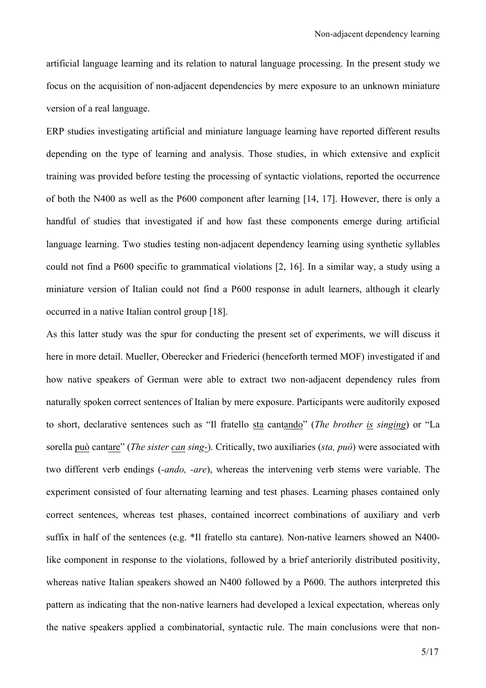artificial language learning and its relation to natural language processing. In the present study we focus on the acquisition of non-adjacent dependencies by mere exposure to an unknown miniature version of a real language.

ERP studies investigating artificial and miniature language learning have reported different results depending on the type of learning and analysis. Those studies, in which extensive and explicit training was provided before testing the processing of syntactic violations, reported the occurrence of both the N400 as well as the P600 component after learning [14, 17]. However, there is only a handful of studies that investigated if and how fast these components emerge during artificial language learning. Two studies testing non-adjacent dependency learning using synthetic syllables could not find a P600 specific to grammatical violations [2, 16]. In a similar way, a study using a miniature version of Italian could not find a P600 response in adult learners, although it clearly occurred in a native Italian control group [18].

As this latter study was the spur for conducting the present set of experiments, we will discuss it here in more detail. Mueller, Oberecker and Friederici (henceforth termed MOF) investigated if and how native speakers of German were able to extract two non-adjacent dependency rules from naturally spoken correct sentences of Italian by mere exposure. Participants were auditorily exposed to short, declarative sentences such as "Il fratello sta cantando" (*The brother is singing*) or "La sorella può cantare" (*The sister can sing-*). Critically, two auxiliaries (*sta, può*) were associated with two different verb endings (*-ando, -are*), whereas the intervening verb stems were variable. The experiment consisted of four alternating learning and test phases. Learning phases contained only correct sentences, whereas test phases, contained incorrect combinations of auxiliary and verb suffix in half of the sentences (e.g. \*Il fratello sta cantare). Non-native learners showed an N400 like component in response to the violations, followed by a brief anteriorily distributed positivity, whereas native Italian speakers showed an N400 followed by a P600. The authors interpreted this pattern as indicating that the non-native learners had developed a lexical expectation, whereas only the native speakers applied a combinatorial, syntactic rule. The main conclusions were that non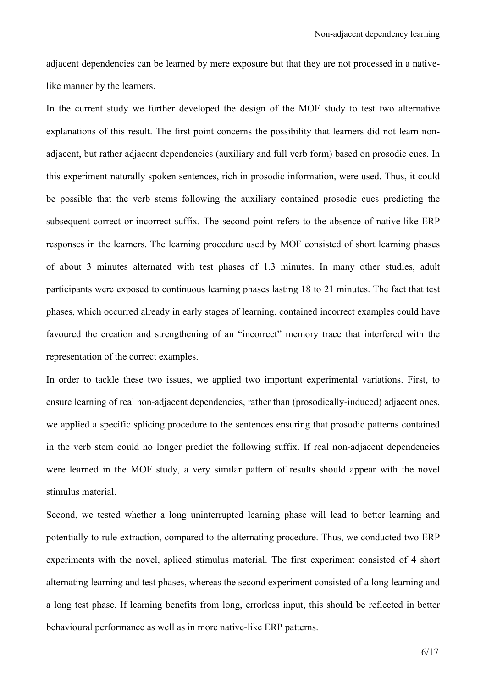adjacent dependencies can be learned by mere exposure but that they are not processed in a nativelike manner by the learners.

In the current study we further developed the design of the MOF study to test two alternative explanations of this result. The first point concerns the possibility that learners did not learn nonadjacent, but rather adjacent dependencies (auxiliary and full verb form) based on prosodic cues. In this experiment naturally spoken sentences, rich in prosodic information, were used. Thus, it could be possible that the verb stems following the auxiliary contained prosodic cues predicting the subsequent correct or incorrect suffix. The second point refers to the absence of native-like ERP responses in the learners. The learning procedure used by MOF consisted of short learning phases of about 3 minutes alternated with test phases of 1.3 minutes. In many other studies, adult participants were exposed to continuous learning phases lasting 18 to 21 minutes. The fact that test phases, which occurred already in early stages of learning, contained incorrect examples could have favoured the creation and strengthening of an "incorrect" memory trace that interfered with the representation of the correct examples.

In order to tackle these two issues, we applied two important experimental variations. First, to ensure learning of real non-adjacent dependencies, rather than (prosodically-induced) adjacent ones, we applied a specific splicing procedure to the sentences ensuring that prosodic patterns contained in the verb stem could no longer predict the following suffix. If real non-adjacent dependencies were learned in the MOF study, a very similar pattern of results should appear with the novel stimulus material.

Second, we tested whether a long uninterrupted learning phase will lead to better learning and potentially to rule extraction, compared to the alternating procedure. Thus, we conducted two ERP experiments with the novel, spliced stimulus material. The first experiment consisted of 4 short alternating learning and test phases, whereas the second experiment consisted of a long learning and a long test phase. If learning benefits from long, errorless input, this should be reflected in better behavioural performance as well as in more native-like ERP patterns.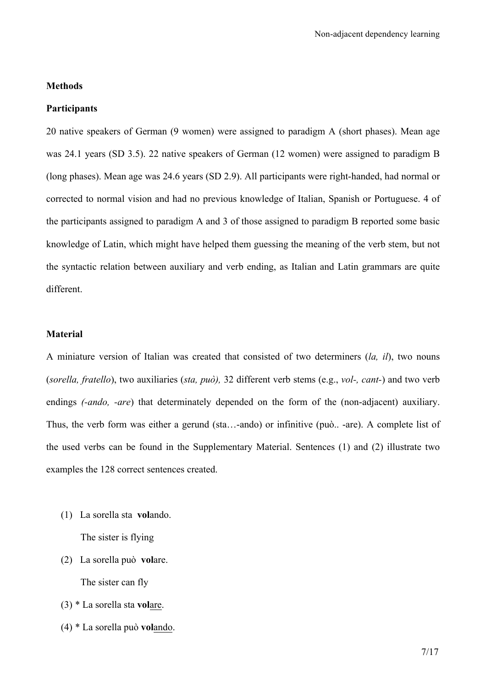## **Methods**

#### **Participants**

20 native speakers of German (9 women) were assigned to paradigm A (short phases). Mean age was 24.1 years (SD 3.5). 22 native speakers of German (12 women) were assigned to paradigm B (long phases). Mean age was 24.6 years (SD 2.9). All participants were right-handed, had normal or corrected to normal vision and had no previous knowledge of Italian, Spanish or Portuguese. 4 of the participants assigned to paradigm A and 3 of those assigned to paradigm B reported some basic knowledge of Latin, which might have helped them guessing the meaning of the verb stem, but not the syntactic relation between auxiliary and verb ending, as Italian and Latin grammars are quite different.

#### **Material**

A miniature version of Italian was created that consisted of two determiners (*la, il*), two nouns (*sorella, fratello*), two auxiliaries (*sta, può),* 32 different verb stems (e.g., *vol-, cant-*) and two verb endings *(-ando, -are*) that determinately depended on the form of the (non-adjacent) auxiliary. Thus, the verb form was either a gerund (sta…-ando) or infinitive (può.. -are). A complete list of the used verbs can be found in the Supplementary Material. Sentences (1) and (2) illustrate two examples the 128 correct sentences created.

- (1) La sorella sta **vol**ando. The sister is flying
- (2) La sorella può **vol**are. The sister can fly
- (3) \* La sorella sta **vol**are.
- (4) \* La sorella può **vol**ando.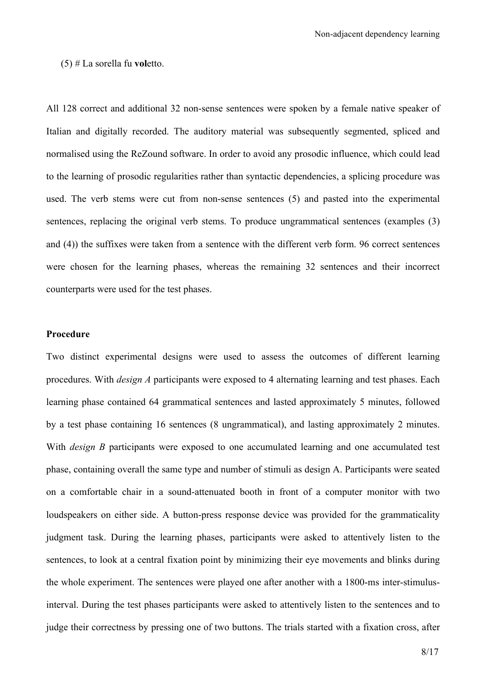## (5) # La sorella fu **vol**etto.

All 128 correct and additional 32 non-sense sentences were spoken by a female native speaker of Italian and digitally recorded. The auditory material was subsequently segmented, spliced and normalised using the ReZound software. In order to avoid any prosodic influence, which could lead to the learning of prosodic regularities rather than syntactic dependencies, a splicing procedure was used. The verb stems were cut from non-sense sentences (5) and pasted into the experimental sentences, replacing the original verb stems. To produce ungrammatical sentences (examples (3) and (4)) the suffixes were taken from a sentence with the different verb form. 96 correct sentences were chosen for the learning phases, whereas the remaining 32 sentences and their incorrect counterparts were used for the test phases.

#### **Procedure**

Two distinct experimental designs were used to assess the outcomes of different learning procedures. With *design A* participants were exposed to 4 alternating learning and test phases. Each learning phase contained 64 grammatical sentences and lasted approximately 5 minutes, followed by a test phase containing 16 sentences (8 ungrammatical), and lasting approximately 2 minutes. With *design B* participants were exposed to one accumulated learning and one accumulated test phase, containing overall the same type and number of stimuli as design A. Participants were seated on a comfortable chair in a sound-attenuated booth in front of a computer monitor with two loudspeakers on either side. A button-press response device was provided for the grammaticality judgment task. During the learning phases, participants were asked to attentively listen to the sentences, to look at a central fixation point by minimizing their eye movements and blinks during the whole experiment. The sentences were played one after another with a 1800-ms inter-stimulusinterval. During the test phases participants were asked to attentively listen to the sentences and to judge their correctness by pressing one of two buttons. The trials started with a fixation cross, after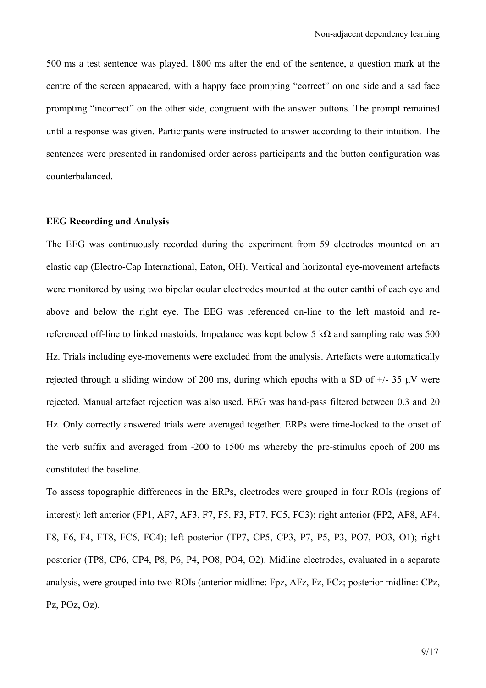500 ms a test sentence was played. 1800 ms after the end of the sentence, a question mark at the centre of the screen appaeared, with a happy face prompting "correct" on one side and a sad face prompting "incorrect" on the other side, congruent with the answer buttons. The prompt remained until a response was given. Participants were instructed to answer according to their intuition. The sentences were presented in randomised order across participants and the button configuration was counterbalanced.

#### **EEG Recording and Analysis**

The EEG was continuously recorded during the experiment from 59 electrodes mounted on an elastic cap (Electro-Cap International, Eaton, OH). Vertical and horizontal eye-movement artefacts were monitored by using two bipolar ocular electrodes mounted at the outer canthi of each eye and above and below the right eye. The EEG was referenced on-line to the left mastoid and rereferenced off-line to linked mastoids. Impedance was kept below 5 kΩ and sampling rate was 500 Hz. Trials including eye-movements were excluded from the analysis. Artefacts were automatically rejected through a sliding window of 200 ms, during which epochs with a SD of  $+/- 35 \mu V$  were rejected. Manual artefact rejection was also used. EEG was band-pass filtered between 0.3 and 20 Hz. Only correctly answered trials were averaged together. ERPs were time-locked to the onset of the verb suffix and averaged from -200 to 1500 ms whereby the pre-stimulus epoch of 200 ms constituted the baseline.

To assess topographic differences in the ERPs, electrodes were grouped in four ROIs (regions of interest): left anterior (FP1, AF7, AF3, F7, F5, F3, FT7, FC5, FC3); right anterior (FP2, AF8, AF4, F8, F6, F4, FT8, FC6, FC4); left posterior (TP7, CP5, CP3, P7, P5, P3, PO7, PO3, O1); right posterior (TP8, CP6, CP4, P8, P6, P4, PO8, PO4, O2). Midline electrodes, evaluated in a separate analysis, were grouped into two ROIs (anterior midline: Fpz, AFz, Fz, FCz; posterior midline: CPz, Pz, POz, Oz).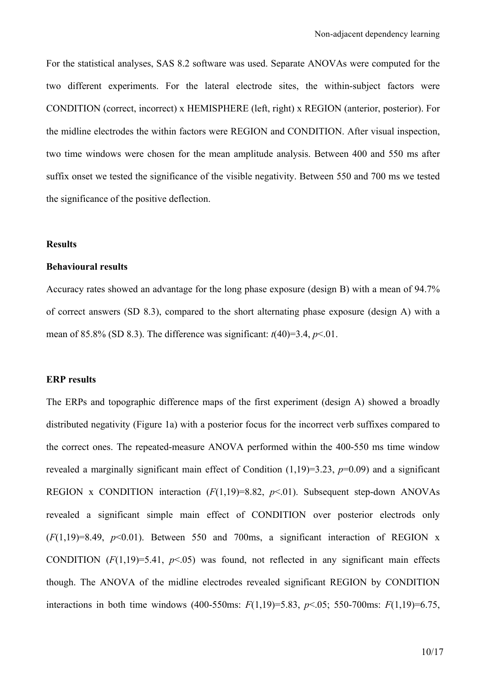For the statistical analyses, SAS 8.2 software was used. Separate ANOVAs were computed for the two different experiments. For the lateral electrode sites, the within-subject factors were CONDITION (correct, incorrect) x HEMISPHERE (left, right) x REGION (anterior, posterior). For the midline electrodes the within factors were REGION and CONDITION. After visual inspection, two time windows were chosen for the mean amplitude analysis. Between 400 and 550 ms after suffix onset we tested the significance of the visible negativity. Between 550 and 700 ms we tested the significance of the positive deflection.

## **Results**

#### **Behavioural results**

Accuracy rates showed an advantage for the long phase exposure (design B) with a mean of 94.7% of correct answers (SD 8.3), compared to the short alternating phase exposure (design A) with a mean of 85.8% (SD 8.3). The difference was significant:  $t(40)=3.4$ ,  $p<01$ .

#### **ERP results**

The ERPs and topographic difference maps of the first experiment (design A) showed a broadly distributed negativity (Figure 1a) with a posterior focus for the incorrect verb suffixes compared to the correct ones. The repeated-measure ANOVA performed within the 400-550 ms time window revealed a marginally significant main effect of Condition  $(1,19)=3.23$ ,  $p=0.09$ ) and a significant REGION x CONDITION interaction  $(F(1,19)=8.82, p<0.01)$ . Subsequent step-down ANOVAs revealed a significant simple main effect of CONDITION over posterior electrods only  $(F(1,19)=8.49, p<0.01)$ . Between 550 and 700ms, a significant interaction of REGION x CONDITION  $(F(1,19)=5.41, p<0.05)$  was found, not reflected in any significant main effects though. The ANOVA of the midline electrodes revealed significant REGION by CONDITION interactions in both time windows (400-550ms: *F*(1,19)=5.83, *p*<.05; 550-700ms: *F*(1,19)=6.75,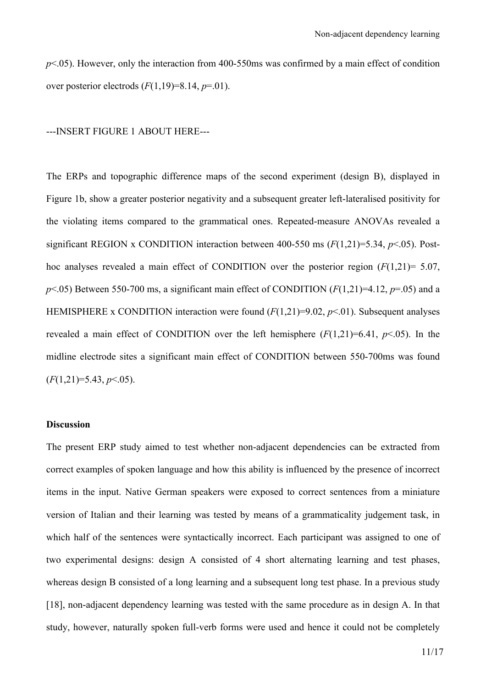$p$ <.05). However, only the interaction from 400-550ms was confirmed by a main effect of condition over posterior electrods (*F*(1,19)=8.14, *p*=.01).

## ---INSERT FIGURE 1 ABOUT HERE---

The ERPs and topographic difference maps of the second experiment (design B), displayed in Figure 1b, show a greater posterior negativity and a subsequent greater left-lateralised positivity for the violating items compared to the grammatical ones. Repeated-measure ANOVAs revealed a significant REGION x CONDITION interaction between 400-550 ms (*F*(1,21)=5.34, *p*<.05). Posthoc analyses revealed a main effect of CONDITION over the posterior region  $(F(1,21)= 5.07)$ ,  $p$ <.05) Between 550-700 ms, a significant main effect of CONDITION ( $F(1,21)$ =4.12,  $p$ =.05) and a HEMISPHERE x CONDITION interaction were found ( $F(1,21)=9.02$ ,  $p<.01$ ). Subsequent analyses revealed a main effect of CONDITION over the left hemisphere  $(F(1,21)=6.41, p<.05)$ . In the midline electrode sites a significant main effect of CONDITION between 550-700ms was found (*F*(1,21)=5.43, *p*<.05).

## **Discussion**

The present ERP study aimed to test whether non-adjacent dependencies can be extracted from correct examples of spoken language and how this ability is influenced by the presence of incorrect items in the input. Native German speakers were exposed to correct sentences from a miniature version of Italian and their learning was tested by means of a grammaticality judgement task, in which half of the sentences were syntactically incorrect. Each participant was assigned to one of two experimental designs: design A consisted of 4 short alternating learning and test phases, whereas design B consisted of a long learning and a subsequent long test phase. In a previous study [18], non-adjacent dependency learning was tested with the same procedure as in design A. In that study, however, naturally spoken full-verb forms were used and hence it could not be completely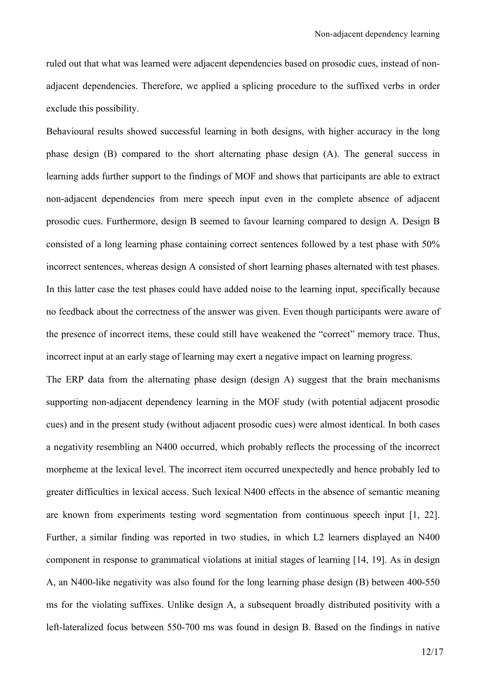ruled out that what was learned were adjacent dependencies based on prosodic cues, instead of nonadjacent dependencies. Therefore, we applied a splicing procedure to the suffixed verbs in order exclude this possibility.

Behavioural results showed successful learning in both designs, with higher accuracy in the long phase design (B) compared to the short alternating phase design (A). The general success in learning adds further support to the findings of MOF and shows that participants are able to extract non-adjacent dependencies from mere speech input even in the complete absence of adjacent prosodic cues. Furthermore, design B seemed to favour learning compared to design A. Design B consisted of a long learning phase containing correct sentences followed by a test phase with 50% incorrect sentences, whereas design A consisted of short learning phases alternated with test phases. In this latter case the test phases could have added noise to the learning input, specifically because no feedback about the correctness of the answer was given. Even though participants were aware of the presence of incorrect items, these could still have weakened the "correct" memory trace. Thus, incorrect input at an early stage of learning may exert a negative impact on learning progress.

The ERP data from the alternating phase design (design A) suggest that the brain mechanisms supporting non-adjacent dependency learning in the MOF study (with potential adjacent prosodic cues) and in the present study (without adjacent prosodic cues) were almost identical. In both cases a negativity resembling an N400 occurred, which probably reflects the processing of the incorrect morpheme at the lexical level. The incorrect item occurred unexpectedly and hence probably led to greater difficulties in lexical access. Such lexical N400 effects in the absence of semantic meaning are known from experiments testing word segmentation from continuous speech input [1, 22]. Further, a similar finding was reported in two studies, in which L2 learners displayed an N400 component in response to grammatical violations at initial stages of learning [14, 19]. As in design A, an N400-like negativity was also found for the long learning phase design (B) between 400-550 ms for the violating suffixes. Unlike design A, a subsequent broadly distributed positivity with a left-lateralized focus between 550-700 ms was found in design B. Based on the findings in native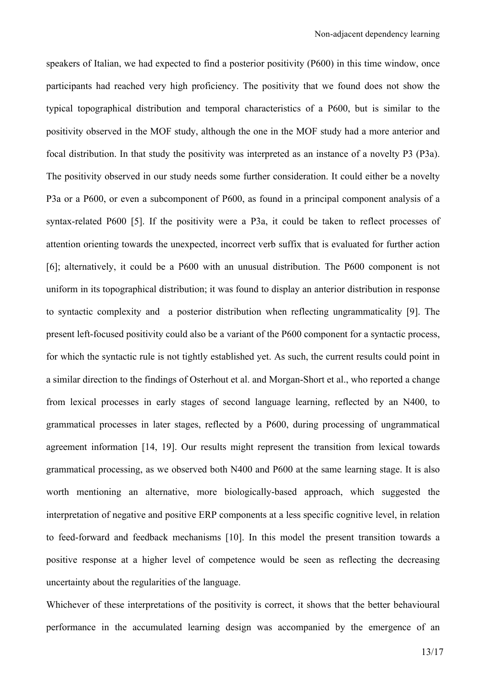speakers of Italian, we had expected to find a posterior positivity (P600) in this time window, once participants had reached very high proficiency. The positivity that we found does not show the typical topographical distribution and temporal characteristics of a P600, but is similar to the positivity observed in the MOF study, although the one in the MOF study had a more anterior and focal distribution. In that study the positivity was interpreted as an instance of a novelty P3 (P3a). The positivity observed in our study needs some further consideration. It could either be a novelty P3a or a P600, or even a subcomponent of P600, as found in a principal component analysis of a syntax-related P600 [5]. If the positivity were a P3a, it could be taken to reflect processes of attention orienting towards the unexpected, incorrect verb suffix that is evaluated for further action [6]; alternatively, it could be a P600 with an unusual distribution. The P600 component is not uniform in its topographical distribution; it was found to display an anterior distribution in response to syntactic complexity and a posterior distribution when reflecting ungrammaticality [9]. The present left-focused positivity could also be a variant of the P600 component for a syntactic process, for which the syntactic rule is not tightly established yet. As such, the current results could point in a similar direction to the findings of Osterhout et al. and Morgan-Short et al., who reported a change from lexical processes in early stages of second language learning, reflected by an N400, to grammatical processes in later stages, reflected by a P600, during processing of ungrammatical agreement information [14, 19]. Our results might represent the transition from lexical towards grammatical processing, as we observed both N400 and P600 at the same learning stage. It is also worth mentioning an alternative, more biologically-based approach, which suggested the interpretation of negative and positive ERP components at a less specific cognitive level, in relation to feed-forward and feedback mechanisms [10]. In this model the present transition towards a positive response at a higher level of competence would be seen as reflecting the decreasing uncertainty about the regularities of the language.

Whichever of these interpretations of the positivity is correct, it shows that the better behavioural performance in the accumulated learning design was accompanied by the emergence of an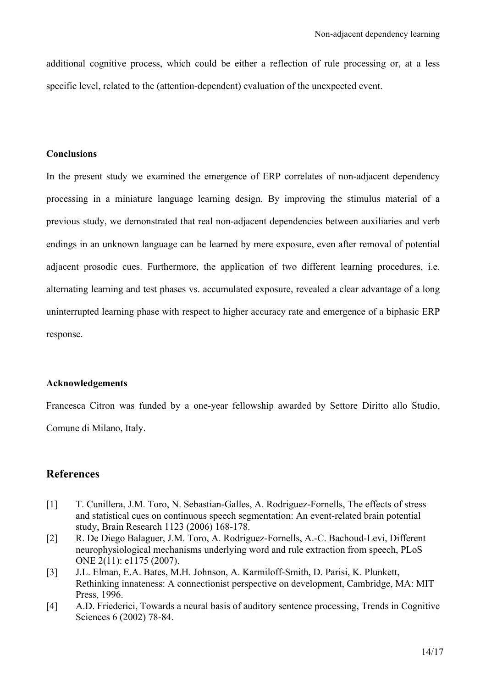additional cognitive process, which could be either a reflection of rule processing or, at a less specific level, related to the (attention-dependent) evaluation of the unexpected event.

#### **Conclusions**

In the present study we examined the emergence of ERP correlates of non-adjacent dependency processing in a miniature language learning design. By improving the stimulus material of a previous study, we demonstrated that real non-adjacent dependencies between auxiliaries and verb endings in an unknown language can be learned by mere exposure, even after removal of potential adjacent prosodic cues. Furthermore, the application of two different learning procedures, i.e. alternating learning and test phases vs. accumulated exposure, revealed a clear advantage of a long uninterrupted learning phase with respect to higher accuracy rate and emergence of a biphasic ERP response.

# **Acknowledgements**

Francesca Citron was funded by a one-year fellowship awarded by Settore Diritto allo Studio, Comune di Milano, Italy.

# **References**

- [1] T. Cunillera, J.M. Toro, N. Sebastian-Galles, A. Rodriguez-Fornells, The effects of stress and statistical cues on continuous speech segmentation: An event-related brain potential study, Brain Research 1123 (2006) 168-178.
- [2] R. De Diego Balaguer, J.M. Toro, A. Rodriguez-Fornells, A.-C. Bachoud-Levi, Different neurophysiological mechanisms underlying word and rule extraction from speech, PLoS ONE 2(11): e1175 (2007).
- [3] J.L. Elman, E.A. Bates, M.H. Johnson, A. Karmiloff-Smith, D. Parisi, K. Plunkett, Rethinking innateness: A connectionist perspective on development, Cambridge, MA: MIT Press, 1996.
- [4] A.D. Friederici, Towards a neural basis of auditory sentence processing, Trends in Cognitive Sciences 6 (2002) 78-84.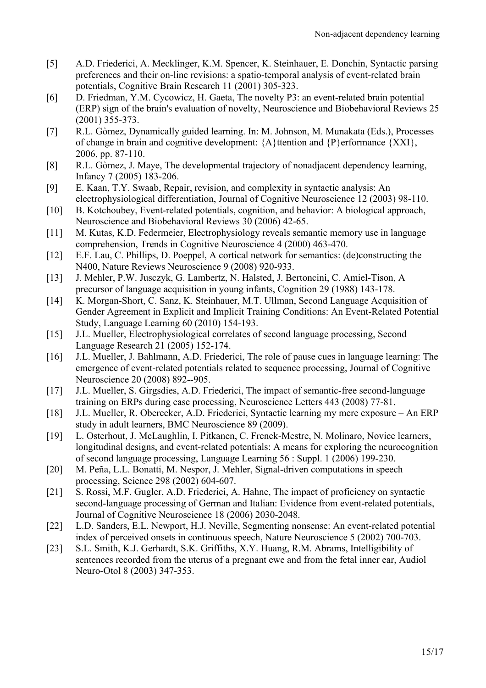- [5] A.D. Friederici, A. Mecklinger, K.M. Spencer, K. Steinhauer, E. Donchin, Syntactic parsing preferences and their on-line revisions: a spatio-temporal analysis of event-related brain potentials, Cognitive Brain Research 11 (2001) 305-323.
- [6] D. Friedman, Y.M. Cycowicz, H. Gaeta, The novelty P3: an event-related brain potential (ERP) sign of the brain's evaluation of novelty, Neuroscience and Biobehavioral Reviews 25 (2001) 355-373.
- [7] R.L. Gòmez, Dynamically guided learning. In: M. Johnson, M. Munakata (Eds.), Processes of change in brain and cognitive development:  ${A}$  ttention and  ${P}$  erformance  ${XXI}$ , 2006, pp. 87-110.
- [8] R.L. Gòmez, J. Maye, The developmental trajectory of nonadjacent dependency learning, Infancy 7 (2005) 183-206.
- [9] E. Kaan, T.Y. Swaab, Repair, revision, and complexity in syntactic analysis: An electrophysiological differentiation, Journal of Cognitive Neuroscience 12 (2003) 98-110.
- [10] B. Kotchoubey, Event-related potentials, cognition, and behavior: A biological approach, Neuroscience and Biobehavioral Reviews 30 (2006) 42-65.
- [11] M. Kutas, K.D. Federmeier, Electrophysiology reveals semantic memory use in language comprehension, Trends in Cognitive Neuroscience 4 (2000) 463-470.
- [12] E.F. Lau, C. Phillips, D. Poeppel, A cortical network for semantics: (de)constructing the N400, Nature Reviews Neuroscience 9 (2008) 920-933.
- [13] J. Mehler, P.W. Jusczyk, G. Lambertz, N. Halsted, J. Bertoncini, C. Amiel-Tison, A precursor of language acquisition in young infants, Cognition 29 (1988) 143-178.
- [14] K. Morgan-Short, C. Sanz, K. Steinhauer, M.T. Ullman, Second Language Acquisition of Gender Agreement in Explicit and Implicit Training Conditions: An Event-Related Potential Study, Language Learning 60 (2010) 154-193.
- [15] J.L. Mueller, Electrophysiological correlates of second language processing, Second Language Research 21 (2005) 152-174.
- [16] J.L. Mueller, J. Bahlmann, A.D. Friederici, The role of pause cues in language learning: The emergence of event-related potentials related to sequence processing, Journal of Cognitive Neuroscience 20 (2008) 892--905.
- [17] J.L. Mueller, S. Girgsdies, A.D. Friederici, The impact of semantic-free second-language training on ERPs during case processing, Neuroscience Letters 443 (2008) 77-81.
- [18] J.L. Mueller, R. Oberecker, A.D. Friederici, Syntactic learning my mere exposure An ERP study in adult learners, BMC Neuroscience 89 (2009).
- [19] L. Osterhout, J. McLaughlin, I. Pitkanen, C. Frenck-Mestre, N. Molinaro, Novice learners, longitudinal designs, and event-related potentials: A means for exploring the neurocognition of second language processing, Language Learning 56 : Suppl. 1 (2006) 199-230.
- [20] M. Peña, L.L. Bonatti, M. Nespor, J. Mehler, Signal-driven computations in speech processing, Science 298 (2002) 604-607.
- [21] S. Rossi, M.F. Gugler, A.D. Friederici, A. Hahne, The impact of proficiency on syntactic second-language processing of German and Italian: Evidence from event-related potentials, Journal of Cognitive Neuroscience 18 (2006) 2030-2048.
- [22] L.D. Sanders, E.L. Newport, H.J. Neville, Segmenting nonsense: An event-related potential index of perceived onsets in continuous speech, Nature Neuroscience 5 (2002) 700-703.
- [23] S.L. Smith, K.J. Gerhardt, S.K. Griffiths, X.Y. Huang, R.M. Abrams, Intelligibility of sentences recorded from the uterus of a pregnant ewe and from the fetal inner ear, Audiol Neuro-Otol 8 (2003) 347-353.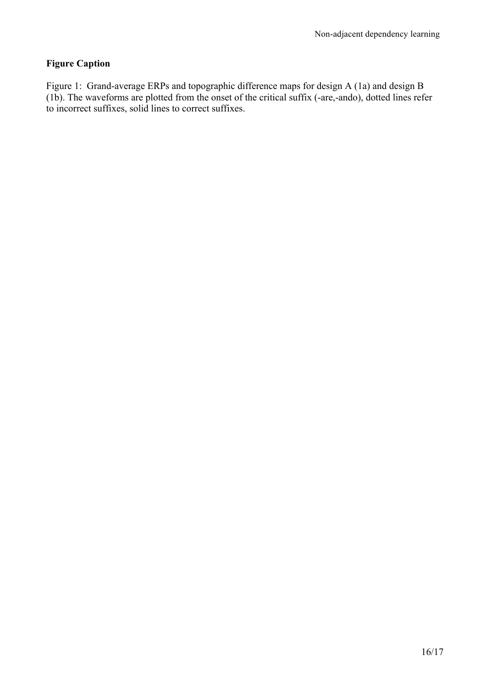# **Figure Caption**

Figure 1: Grand-average ERPs and topographic difference maps for design A (1a) and design B (1b). The waveforms are plotted from the onset of the critical suffix (-are,-ando), dotted lines refer to incorrect suffixes, solid lines to correct suffixes.